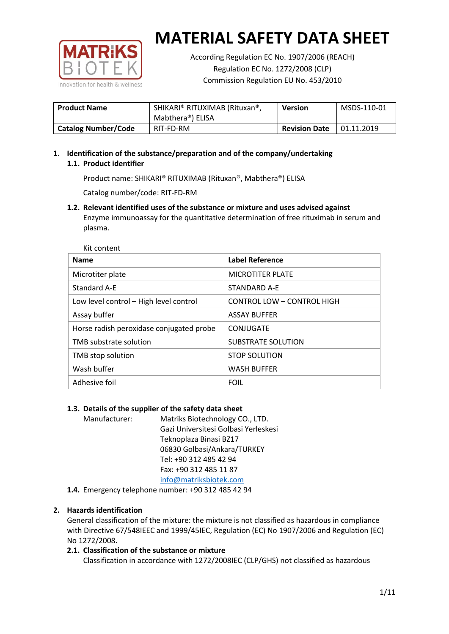

According Regulation EC No. 1907/2006 (REACH) Regulation EC No. 1272/2008 (CLP) Commission Regulation EU No. 453/2010

| <b>Product Name</b>        | SHIKARI® RITUXIMAB (Rituxan®,<br>Mabthera®) ELISA | <b>Version</b>       | MSDS-110-01 |
|----------------------------|---------------------------------------------------|----------------------|-------------|
| <b>Catalog Number/Code</b> | RIT-FD-RM                                         | <b>Revision Date</b> | 01.11.2019  |

# **1. Identification of the substance/preparation and of the company/undertaking 1.1. Product identifier**

Product name: SHIKARI® RITUXIMAB (Rituxan®, Mabthera®) ELISA

Catalog number/code: RIT-FD-RM

**1.2. Relevant identified uses of the substance or mixture and uses advised against** Enzyme immunoassay for the quantitative determination of free rituximab in serum and plasma.

| Kit content                              |                            |
|------------------------------------------|----------------------------|
| <b>Name</b>                              | <b>Label Reference</b>     |
| Microtiter plate                         | <b>MICROTITER PLATE</b>    |
| Standard A-E                             | STANDARD A-E               |
| Low level control - High level control   | CONTROL LOW - CONTROL HIGH |
| Assay buffer                             | <b>ASSAY BUFFER</b>        |
| Horse radish peroxidase conjugated probe | CONJUGATE                  |
| TMB substrate solution                   | SUBSTRATE SOLUTION         |
| TMB stop solution                        | <b>STOP SOLUTION</b>       |
| Wash buffer                              | <b>WASH BUFFER</b>         |
| Adhesive foil                            | <b>FOIL</b>                |

## **1.3. Details of the supplier of the safety data sheet**

Manufacturer: Matriks Biotechnology CO., LTD. Gazi Universitesi Golbasi Yerleskesi Teknoplaza Binasi BZ17 06830 Golbasi/Ankara/TURKEY Tel: +90 312 485 42 94 Fax: +90 312 485 11 87 [info@matriksbiotek.com](mailto:info@matriksbiotek.com)

**1.4.** Emergency telephone number: +90 312 485 42 94

## **2. Hazards identification**

General classification of the mixture: the mixture is not classified as hazardous in compliance with Directive 67/548IEEC and 1999/45IEC, Regulation (EC) No 1907/2006 and Regulation (EC) No 1272/2008.

## **2.1. Classification of the substance or mixture**

Classification in accordance with 1272/2008IEC (CLP/GHS) not classified as hazardous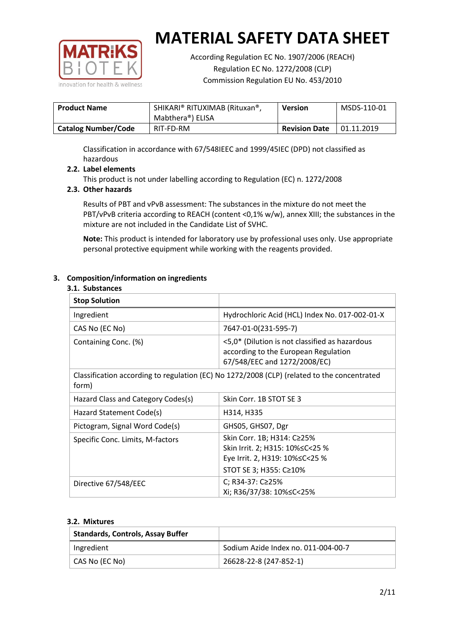

According Regulation EC No. 1907/2006 (REACH) Regulation EC No. 1272/2008 (CLP) Commission Regulation EU No. 453/2010

| <b>Product Name</b>        | SHIKARI® RITUXIMAB (Rituxan®,<br>Mabthera®) ELISA | <b>Version</b>       | MSDS-110-01 |
|----------------------------|---------------------------------------------------|----------------------|-------------|
| <b>Catalog Number/Code</b> | RIT-FD-RM                                         | <b>Revision Date</b> | 01.11.2019  |

Classification in accordance with 67/548IEEC and 1999/45IEC (DPD) not classified as hazardous

## **2.2. Label elements**

This product is not under labelling according to Regulation (EC) n. 1272/2008

## **2.3. Other hazards**

Results of PBT and vPvB assessment: The substances in the mixture do not meet the PBT/vPvB criteria according to REACH (content <0,1% w/w), annex XIII; the substances in the mixture are not included in the Candidate List of SVHC.

**Note:** This product is intended for laboratory use by professional uses only. Use appropriate personal protective equipment while working with the reagents provided.

## **3. Composition/information on ingredients**

#### **3.1. Substances**

| <b>Stop Solution</b>                                                                                 |                                                                                                                               |
|------------------------------------------------------------------------------------------------------|-------------------------------------------------------------------------------------------------------------------------------|
| Ingredient                                                                                           | Hydrochloric Acid (HCL) Index No. 017-002-01-X                                                                                |
| CAS No (EC No)                                                                                       | 7647-01-0(231-595-7)                                                                                                          |
| Containing Conc. (%)                                                                                 | <5,0* (Dilution is not classified as hazardous<br>according to the European Regulation<br>67/548/EEC and 1272/2008/EC)        |
| Classification according to regulation (EC) No 1272/2008 (CLP) (related to the concentrated<br>form) |                                                                                                                               |
| Hazard Class and Category Codes(s)                                                                   | Skin Corr. 1B STOT SE 3                                                                                                       |
| Hazard Statement Code(s)                                                                             | H314, H335                                                                                                                    |
| Pictogram, Signal Word Code(s)                                                                       | GHS05, GHS07, Dgr                                                                                                             |
| Specific Conc. Limits, M-factors                                                                     | Skin Corr. 1B; H314: C≥25%<br>Skin Irrit. 2; H315: 10% ≤ C < 25 %<br>Eye Irrit. 2, H319: 10%≤C<25 %<br>STOT SE 3; H355: C≥10% |
| Directive 67/548/EEC                                                                                 | C; R34-37: C≥25%<br>Xi; R36/37/38: 10%≤C<25%                                                                                  |

#### **3.2. Mixtures**

| <b>Standards, Controls, Assay Buffer</b> |                                     |
|------------------------------------------|-------------------------------------|
| Ingredient                               | Sodium Azide Index no. 011-004-00-7 |
| CAS No (EC No)                           | 26628-22-8 (247-852-1)              |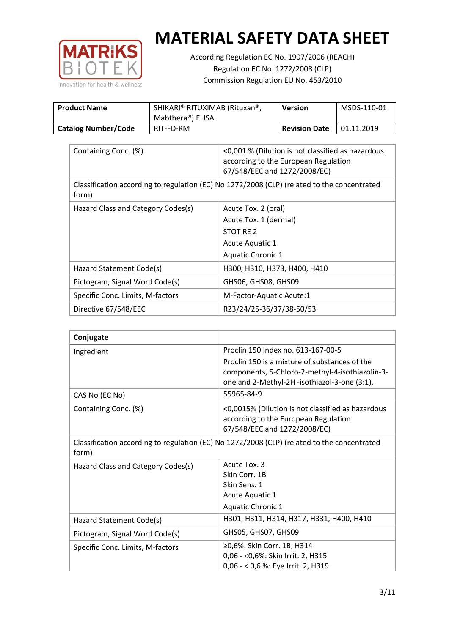

According Regulation EC No. 1907/2006 (REACH) Regulation EC No. 1272/2008 (CLP) Commission Regulation EU No. 453/2010

| <b>Product Name</b>        | SHIKARI® RITUXIMAB (Rituxan®,<br>Mabthera <sup>®</sup> ) ELISA | Version              | MSDS-110-01 |
|----------------------------|----------------------------------------------------------------|----------------------|-------------|
| <b>Catalog Number/Code</b> | RIT-FD-RM                                                      | <b>Revision Date</b> | 01.11.2019  |

| Containing Conc. (%)                                                                                 | <0,001 % (Dilution is not classified as hazardous<br>according to the European Regulation<br>67/548/EEC and 1272/2008/EC) |  |
|------------------------------------------------------------------------------------------------------|---------------------------------------------------------------------------------------------------------------------------|--|
| Classification according to regulation (EC) No 1272/2008 (CLP) (related to the concentrated<br>form) |                                                                                                                           |  |
| Hazard Class and Category Codes(s)                                                                   | Acute Tox. 2 (oral)                                                                                                       |  |
|                                                                                                      | Acute Tox. 1 (dermal)                                                                                                     |  |
|                                                                                                      | STOT RE 2                                                                                                                 |  |
|                                                                                                      | Acute Aquatic 1                                                                                                           |  |
|                                                                                                      | <b>Aquatic Chronic 1</b>                                                                                                  |  |
| Hazard Statement Code(s)                                                                             | H300, H310, H373, H400, H410                                                                                              |  |
| Pictogram, Signal Word Code(s)                                                                       | GHS06, GHS08, GHS09                                                                                                       |  |
| Specific Conc. Limits, M-factors                                                                     | M-Factor-Aquatic Acute:1                                                                                                  |  |
| Directive 67/548/EEC                                                                                 | R23/24/25-36/37/38-50/53                                                                                                  |  |

| Conjugate                                                                                            |                                                                                                                                                  |  |
|------------------------------------------------------------------------------------------------------|--------------------------------------------------------------------------------------------------------------------------------------------------|--|
| Ingredient                                                                                           | Proclin 150 Index no. 613-167-00-5                                                                                                               |  |
|                                                                                                      | Proclin 150 is a mixture of substances of the<br>components, 5-Chloro-2-methyl-4-isothiazolin-3-<br>one and 2-Methyl-2H -isothiazol-3-one (3:1). |  |
| CAS No (EC No)                                                                                       | 55965-84-9                                                                                                                                       |  |
| Containing Conc. (%)                                                                                 | <0,0015% (Dilution is not classified as hazardous<br>according to the European Regulation<br>67/548/EEC and 1272/2008/EC)                        |  |
| Classification according to regulation (EC) No 1272/2008 (CLP) (related to the concentrated<br>form) |                                                                                                                                                  |  |
| Hazard Class and Category Codes(s)                                                                   | Acute Tox. 3                                                                                                                                     |  |
|                                                                                                      | Skin Corr. 1B                                                                                                                                    |  |
|                                                                                                      | Skin Sens. 1                                                                                                                                     |  |
|                                                                                                      | <b>Acute Aquatic 1</b>                                                                                                                           |  |
|                                                                                                      | Aquatic Chronic 1                                                                                                                                |  |
| Hazard Statement Code(s)                                                                             | H301, H311, H314, H317, H331, H400, H410                                                                                                         |  |
| Pictogram, Signal Word Code(s)                                                                       | GHS05, GHS07, GHS09                                                                                                                              |  |
| Specific Conc. Limits, M-factors                                                                     | ≥0,6%: Skin Corr. 1B, H314                                                                                                                       |  |
|                                                                                                      | 0,06 - < 0,6%: Skin Irrit. 2, H315                                                                                                               |  |
|                                                                                                      | 0,06 - < 0,6 %: Eye Irrit. 2, H319                                                                                                               |  |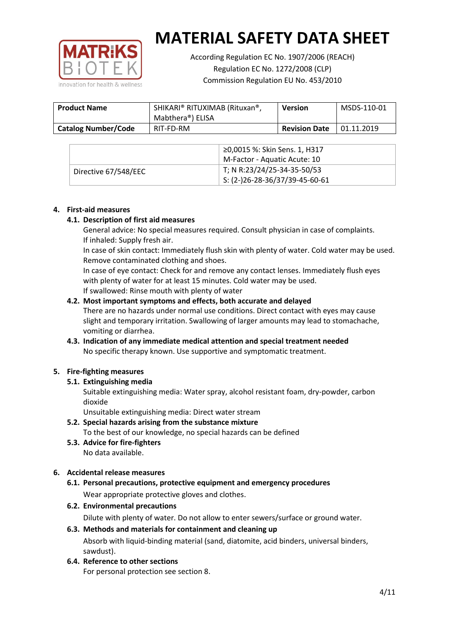

According Regulation EC No. 1907/2006 (REACH) Regulation EC No. 1272/2008 (CLP) Commission Regulation EU No. 453/2010

| <b>Product Name</b>        | SHIKARI® RITUXIMAB (Rituxan®,<br>Mabthera®) ELISA | <b>Version</b>       | MSDS-110-01 |
|----------------------------|---------------------------------------------------|----------------------|-------------|
| <b>Catalog Number/Code</b> | RIT-FD-RM                                         | <b>Revision Date</b> | 01.11.2019  |

|                      | ≥0,0015 %: Skin Sens. 1, H317                |
|----------------------|----------------------------------------------|
|                      | M-Factor - Aquatic Acute: 10                 |
| Directive 67/548/EEC | T; N R:23/24/25-34-35-50/53                  |
|                      | $\frac{1}{1}$ S: (2-)26-28-36/37/39-45-60-61 |

## **4. First-aid measures**

## **4.1. Description of first aid measures**

General advice: No special measures required. Consult physician in case of complaints. If inhaled: Supply fresh air.

In case of skin contact: Immediately flush skin with plenty of water. Cold water may be used. Remove contaminated clothing and shoes.

In case of eye contact: Check for and remove any contact lenses. Immediately flush eyes with plenty of water for at least 15 minutes. Cold water may be used. If swallowed: Rinse mouth with plenty of water

## **4.2. Most important symptoms and effects, both accurate and delayed**

There are no hazards under normal use conditions. Direct contact with eyes may cause slight and temporary irritation. Swallowing of larger amounts may lead to stomachache, vomiting or diarrhea.

## **4.3. Indication of any immediate medical attention and special treatment needed** No specific therapy known. Use supportive and symptomatic treatment.

## **5. Fire-fighting measures**

## **5.1. Extinguishing media**

Suitable extinguishing media: Water spray, alcohol resistant foam, dry-powder, carbon dioxide

Unsuitable extinguishing media: Direct water stream

- **5.2. Special hazards arising from the substance mixture** To the best of our knowledge, no special hazards can be defined
- **5.3. Advice for fire-fighters** No data available.

## **6. Accidental release measures**

- **6.1. Personal precautions, protective equipment and emergency procedures** Wear appropriate protective gloves and clothes.
- **6.2. Environmental precautions**

Dilute with plenty of water. Do not allow to enter sewers/surface or ground water.

#### **6.3. Methods and materials for containment and cleaning up**

Absorb with liquid-binding material (sand, diatomite, acid binders, universal binders, sawdust).

**6.4. Reference to other sections**

For personal protection see section 8.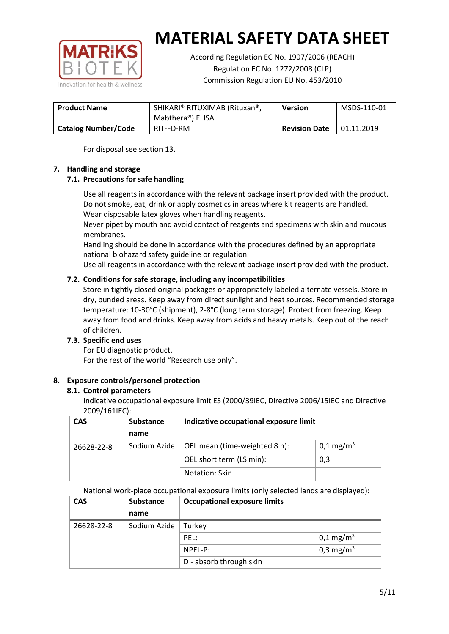

According Regulation EC No. 1907/2006 (REACH) Regulation EC No. 1272/2008 (CLP) Commission Regulation EU No. 453/2010

| <b>Product Name</b>        | SHIKARI® RITUXIMAB (Rituxan®,<br>Mabthera®) ELISA | <b>Version</b>       | MSDS-110-01 |
|----------------------------|---------------------------------------------------|----------------------|-------------|
| <b>Catalog Number/Code</b> | RIT-FD-RM                                         | <b>Revision Date</b> | 01.11.2019  |

For disposal see section 13.

## **7. Handling and storage**

## **7.1. Precautions for safe handling**

Use all reagents in accordance with the relevant package insert provided with the product. Do not smoke, eat, drink or apply cosmetics in areas where kit reagents are handled. Wear disposable latex gloves when handling reagents.

Never pipet by mouth and avoid contact of reagents and specimens with skin and mucous membranes.

Handling should be done in accordance with the procedures defined by an appropriate national biohazard safety guideline or regulation.

Use all reagents in accordance with the relevant package insert provided with the product.

## **7.2. Conditions for safe storage, including any incompatibilities**

Store in tightly closed original packages or appropriately labeled alternate vessels. Store in dry, bunded areas. Keep away from direct sunlight and heat sources. Recommended storage temperature: 10-30°C (shipment), 2-8°C (long term storage). Protect from freezing. Keep away from food and drinks. Keep away from acids and heavy metals. Keep out of the reach of children.

## **7.3. Specific end uses**

For EU diagnostic product. For the rest of the world "Research use only".

## **8. Exposure controls/personel protection**

#### **8.1. Control parameters**

Indicative occupational exposure limit ES (2000/39IEC, Directive 2006/15IEC and Directive 2009/161IEC):

| <b>CAS</b> | <b>Substance</b> | Indicative occupational exposure limit |                         |
|------------|------------------|----------------------------------------|-------------------------|
|            | name             |                                        |                         |
| 26628-22-8 | Sodium Azide     | OEL mean (time-weighted 8 h):          | $0,1 \,\mathrm{mg/m^3}$ |
|            |                  | OEL short term (LS min):               | 0,3                     |
|            |                  | Notation: Skin                         |                         |

National work-place occupational exposure limits (only selected lands are displayed):

| <b>CAS</b> | <b>Substance</b> | <b>Occupational exposure limits</b> |                         |
|------------|------------------|-------------------------------------|-------------------------|
|            | name             |                                     |                         |
| 26628-22-8 | Sodium Azide     | Turkey                              |                         |
|            |                  | PEL:                                | $0,1 \,\mathrm{mg/m^3}$ |
|            |                  | $NPEL-P$ :                          | 0,3 mg/m <sup>3</sup>   |
|            |                  | D - absorb through skin             |                         |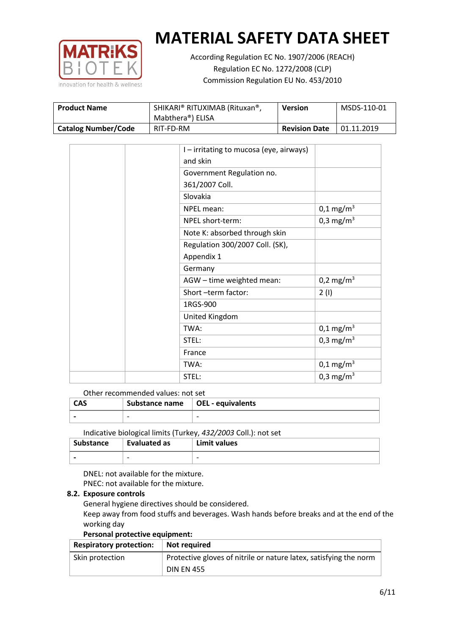

According Regulation EC No. 1907/2006 (REACH) Regulation EC No. 1272/2008 (CLP) Commission Regulation EU No. 453/2010

| <b>Product Name</b>        | SHIKARI® RITUXIMAB (Rituxan®,<br>Mabthera <sup>®</sup> ) ELISA | <b>Version</b>       | MSDS-110-01 |
|----------------------------|----------------------------------------------------------------|----------------------|-------------|
| <b>Catalog Number/Code</b> | RIT-FD-RM                                                      | <b>Revision Date</b> | 01.11.2019  |

| I - irritating to mucosa (eye, airways) |                       |
|-----------------------------------------|-----------------------|
| and skin                                |                       |
| Government Regulation no.               |                       |
| 361/2007 Coll.                          |                       |
| Slovakia                                |                       |
| NPEL mean:                              | $0,1 \text{ mg/m}^3$  |
| NPEL short-term:                        | 0,3 mg/m <sup>3</sup> |
| Note K: absorbed through skin           |                       |
| Regulation 300/2007 Coll. (SK),         |                       |
| Appendix 1                              |                       |
| Germany                                 |                       |
| AGW - time weighted mean:               | 0,2 mg/m <sup>3</sup> |
| Short-term factor:                      | 2(1)                  |
| 1RGS-900                                |                       |
| United Kingdom                          |                       |
| TWA:                                    | $0,1 \text{ mg/m}^3$  |
| STEL:                                   | 0,3 mg/m <sup>3</sup> |
| France                                  |                       |
| TWA:                                    | $0,1 \text{ mg/m}^3$  |
| STEL:                                   | 0,3 mg/m <sup>3</sup> |

Other recommended values: not set

| <b>CAS</b> | Substance name   OEL - equivalents |   |
|------------|------------------------------------|---|
|            | $\overline{\phantom{0}}$           | - |
|            |                                    |   |

Indicative biological limits (Turkey, *432/2003* Coll.): not set

| Substance                | Evaluated as             | Limit values             |
|--------------------------|--------------------------|--------------------------|
| $\overline{\phantom{0}}$ | $\overline{\phantom{0}}$ | $\overline{\phantom{0}}$ |

DNEL: not available for the mixture. PNEC: not available for the mixture.

## **8.2. Exposure controls**

General hygiene directives should be considered.

Keep away from food stuffs and beverages. Wash hands before breaks and at the end of the working day

#### **Personal protective equipment:**

| <b>Respiratory protection:</b> | Not required                                                      |
|--------------------------------|-------------------------------------------------------------------|
| Skin protection                | Protective gloves of nitrile or nature latex, satisfying the norm |
|                                | <b>DIN EN 455</b>                                                 |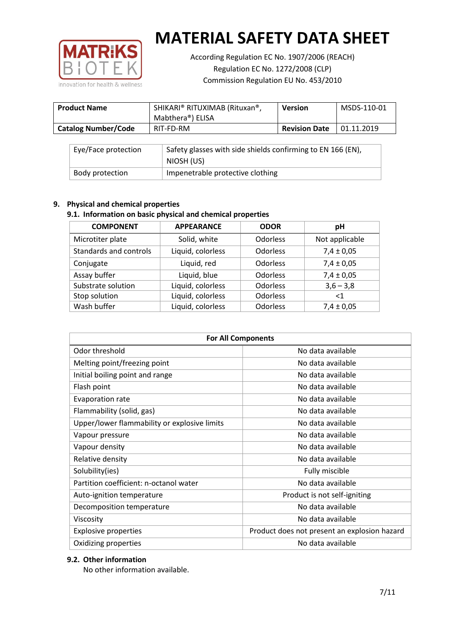

According Regulation EC No. 1907/2006 (REACH) Regulation EC No. 1272/2008 (CLP) Commission Regulation EU No. 453/2010

| <b>Product Name</b>        | SHIKARI® RITUXIMAB (Rituxan®,<br>Mabthera®) ELISA | <b>Version</b>       | MSDS-110-01 |
|----------------------------|---------------------------------------------------|----------------------|-------------|
| <b>Catalog Number/Code</b> | RIT-FD-RM                                         | <b>Revision Date</b> | 01.11.2019  |

| Eye/Face protection | Safety glasses with side shields confirming to EN 166 (EN),<br>NIOSH (US) |
|---------------------|---------------------------------------------------------------------------|
| Body protection     | Impenetrable protective clothing                                          |

## **9. Physical and chemical properties**

## **9.1. Information on basic physical and chemical properties**

| <b>COMPONENT</b>       | <b>APPEARANCE</b> | <b>ODOR</b>     | рH             |
|------------------------|-------------------|-----------------|----------------|
| Microtiter plate       | Solid, white      | Odorless        | Not applicable |
| Standards and controls | Liquid, colorless | <b>Odorless</b> | $7,4 \pm 0,05$ |
| Conjugate              | Liquid, red       | <b>Odorless</b> | $7,4 \pm 0,05$ |
| Assay buffer           | Liquid, blue      | <b>Odorless</b> | $7,4 \pm 0,05$ |
| Substrate solution     | Liquid, colorless | Odorless        | $3,6 - 3,8$    |
| Stop solution          | Liquid, colorless | Odorless        | $<$ 1          |
| Wash buffer            | Liquid, colorless | Odorless        | $7,4 \pm 0,05$ |

| <b>For All Components</b>                    |                                              |  |  |
|----------------------------------------------|----------------------------------------------|--|--|
| Odor threshold                               | No data available                            |  |  |
| Melting point/freezing point                 | No data available                            |  |  |
| Initial boiling point and range              | No data available                            |  |  |
| Flash point                                  | No data available                            |  |  |
| <b>Evaporation rate</b>                      | No data available                            |  |  |
| Flammability (solid, gas)                    | No data available                            |  |  |
| Upper/lower flammability or explosive limits | No data available                            |  |  |
| Vapour pressure                              | No data available                            |  |  |
| Vapour density                               | No data available                            |  |  |
| Relative density                             | No data available                            |  |  |
| Solubility(ies)                              | Fully miscible                               |  |  |
| Partition coefficient: n-octanol water       | No data available                            |  |  |
| Auto-ignition temperature                    | Product is not self-igniting                 |  |  |
| Decomposition temperature                    | No data available                            |  |  |
| Viscosity                                    | No data available                            |  |  |
| <b>Explosive properties</b>                  | Product does not present an explosion hazard |  |  |
| Oxidizing properties                         | No data available                            |  |  |

## **9.2. Other information**

No other information available.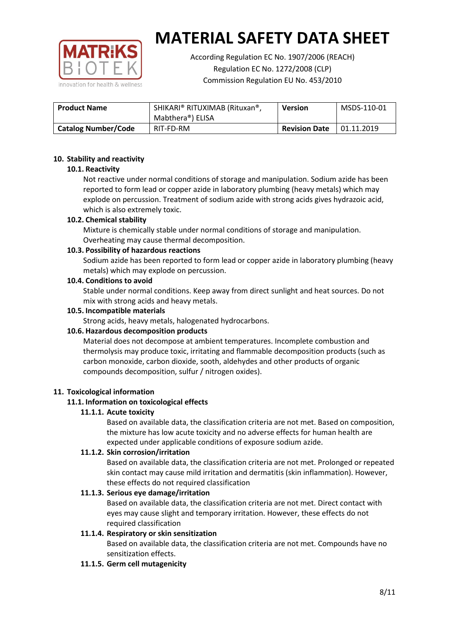

According Regulation EC No. 1907/2006 (REACH) Regulation EC No. 1272/2008 (CLP) Commission Regulation EU No. 453/2010

| <b>Product Name</b>        | SHIKARI® RITUXIMAB (Rituxan®,<br>Mabthera <sup>®</sup> ) ELISA | <b>Version</b>       | MSDS-110-01 |
|----------------------------|----------------------------------------------------------------|----------------------|-------------|
| <b>Catalog Number/Code</b> | RIT-FD-RM                                                      | <b>Revision Date</b> | 01.11.2019  |

## **10. Stability and reactivity**

## **10.1. Reactivity**

Not reactive under normal conditions of storage and manipulation. Sodium azide has been reported to form lead or copper azide in laboratory plumbing (heavy metals) which may explode on percussion. Treatment of sodium azide with strong acids gives hydrazoic acid, which is also extremely toxic.

## **10.2. Chemical stability**

Mixture is chemically stable under normal conditions of storage and manipulation. Overheating may cause thermal decomposition.

## **10.3. Possibility of hazardous reactions**

Sodium azide has been reported to form lead or copper azide in laboratory plumbing (heavy metals) which may explode on percussion.

#### **10.4. Conditions to avoid**

Stable under normal conditions. Keep away from direct sunlight and heat sources. Do not mix with strong acids and heavy metals.

#### **10.5. Incompatible materials**

Strong acids, heavy metals, halogenated hydrocarbons.

## **10.6. Hazardous decomposition products**

Material does not decompose at ambient temperatures. Incomplete combustion and thermolysis may produce toxic, irritating and flammable decomposition products (such as carbon monoxide, carbon dioxide, sooth, aldehydes and other products of organic compounds decomposition, sulfur / nitrogen oxides).

#### **11. Toxicological information**

## **11.1. Information on toxicological effects**

## **11.1.1. Acute toxicity**

Based on available data, the classification criteria are not met. Based on composition, the mixture has low acute toxicity and no adverse effects for human health are expected under applicable conditions of exposure sodium azide.

## **11.1.2. Skin corrosion/irritation**

Based on available data, the classification criteria are not met. Prolonged or repeated skin contact may cause mild irritation and dermatitis (skin inflammation). However, these effects do not required classification

## **11.1.3. Serious eye damage/irritation**

Based on available data, the classification criteria are not met. Direct contact with eyes may cause slight and temporary irritation. However, these effects do not required classification

## **11.1.4. Respiratory or skin sensitization**

Based on available data, the classification criteria are not met. Compounds have no sensitization effects.

#### **11.1.5. Germ cell mutagenicity**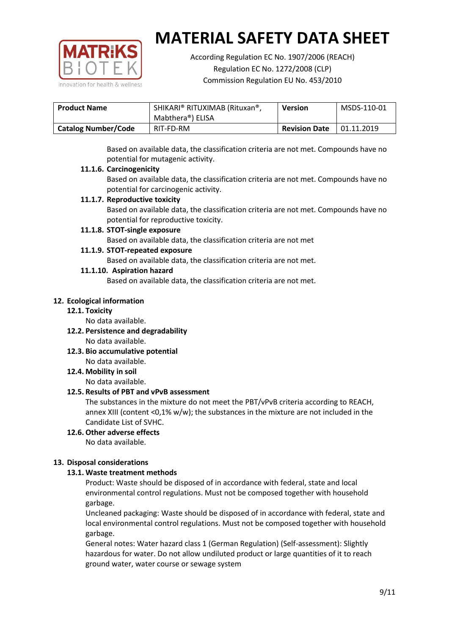

According Regulation EC No. 1907/2006 (REACH) Regulation EC No. 1272/2008 (CLP) Commission Regulation EU No. 453/2010

| <b>Product Name</b>        | SHIKARI® RITUXIMAB (Rituxan®,<br>Mabthera®) ELISA | <b>Version</b>       | MSDS-110-01 |
|----------------------------|---------------------------------------------------|----------------------|-------------|
| <b>Catalog Number/Code</b> | RIT-FD-RM                                         | <b>Revision Date</b> | 01.11.2019  |

Based on available data, the classification criteria are not met. Compounds have no potential for mutagenic activity.

## **11.1.6. Carcinogenicity**

Based on available data, the classification criteria are not met. Compounds have no potential for carcinogenic activity.

## **11.1.7. Reproductive toxicity**

Based on available data, the classification criteria are not met. Compounds have no potential for reproductive toxicity.

## **11.1.8. STOT-single exposure**

Based on available data, the classification criteria are not met

## **11.1.9. STOT-repeated exposure**

Based on available data, the classification criteria are not met.

## **11.1.10. Aspiration hazard**

Based on available data, the classification criteria are not met.

## **12. Ecological information**

#### **12.1. Toxicity**

No data available.

- **12.2. Persistence and degradability** No data available.
- **12.3. Bio accumulative potential** No data available.

**12.4. Mobility in soil**

No data available.

## **12.5. Results of PBT and vPvB assessment**

The substances in the mixture do not meet the PBT/vPvB criteria according to REACH, annex XIII (content <0,1% w/w); the substances in the mixture are not included in the Candidate List of SVHC.

#### **12.6. Other adverse effects** No data available.

## **13. Disposal considerations**

## **13.1. Waste treatment methods**

Product: Waste should be disposed of in accordance with federal, state and local environmental control regulations. Must not be composed together with household garbage.

Uncleaned packaging: Waste should be disposed of in accordance with federal, state and local environmental control regulations. Must not be composed together with household garbage.

General notes: Water hazard class 1 (German Regulation) (Self-assessment): Slightly hazardous for water. Do not allow undiluted product or large quantities of it to reach ground water, water course or sewage system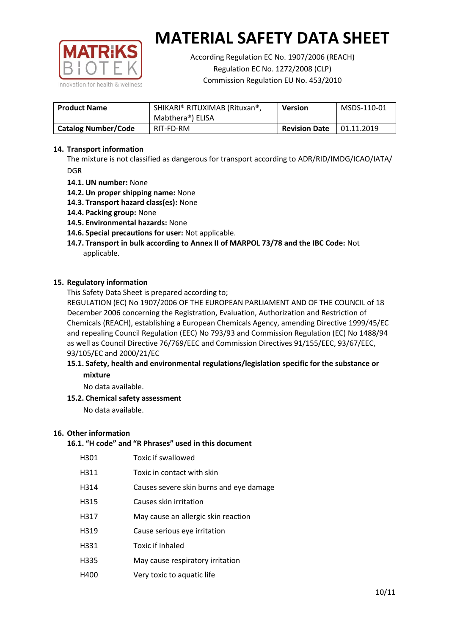

According Regulation EC No. 1907/2006 (REACH) Regulation EC No. 1272/2008 (CLP) Commission Regulation EU No. 453/2010

| <b>Product Name</b>        | SHIKARI® RITUXIMAB (Rituxan®,<br>Mabthera®) ELISA | <b>Version</b>       | MSDS-110-01 |
|----------------------------|---------------------------------------------------|----------------------|-------------|
| <b>Catalog Number/Code</b> | RIT-FD-RM                                         | <b>Revision Date</b> | 01.11.2019  |

## **14. Transport information**

The mixture is not classified as dangerous for transport according to ADR/RID/IMDG/ICAO/IATA/ DGR

- **14.1. UN number:** None
- **14.2. Un proper shipping name:** None
- **14.3. Transport hazard class(es):** None
- **14.4. Packing group:** None
- **14.5. Environmental hazards:** None
- **14.6. Special precautions for user:** Not applicable.
- **14.7. Transport in bulk according to Annex II of MARPOL 73/78 and the IBC Code:** Not applicable.

#### **15. Regulatory information**

This Safety Data Sheet is prepared according to;

REGULATION (EC) No 1907/2006 OF THE EUROPEAN PARLIAMENT AND OF THE COUNCIL of 18 December 2006 concerning the Registration, Evaluation, Authorization and Restriction of Chemicals (REACH), establishing a European Chemicals Agency, amending Directive 1999/45/EC and repealing Council Regulation (EEC) No 793/93 and Commission Regulation (EC) No 1488/94 as well as Council Directive 76/769/EEC and Commission Directives 91/155/EEC, 93/67/EEC, 93/105/EC and 2000/21/EC

## **15.1. Safety, health and environmental regulations/legislation specific for the substance or mixture**

No data available.

## **15.2. Chemical safety assessment**

No data available.

#### **16. Other information**

# **16.1. "H code" and "R Phrases" used in this document**

| H301 | Toxic if swallowed |
|------|--------------------|
|------|--------------------|

- H311 Toxic in contact with skin
- H314 Causes severe skin burns and eye damage
- H315 Causes skin irritation
- H317 May cause an allergic skin reaction
- H319 Cause serious eye irritation
- H331 Toxic if inhaled
- H335 May cause respiratory irritation
- H400 Very toxic to aquatic life